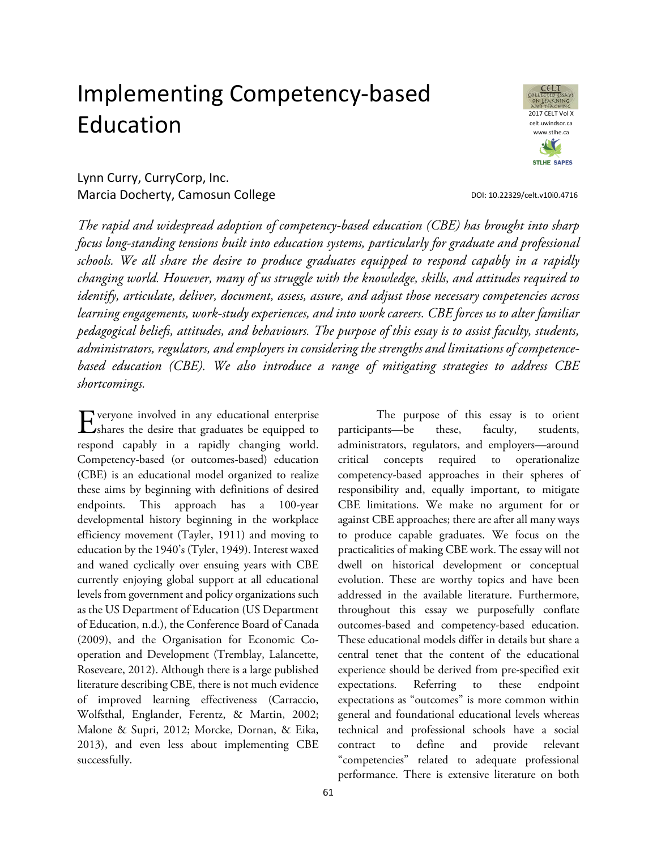# Implementing Competency-based Education



DOI[: 10.22329/celt.v10i0.4716](http://dx.doi.org/10.22329/celt.v10i0.4716)

Lynn Curry, CurryCorp, Inc. Marcia Docherty, Camosun College

*The rapid and widespread adoption of competency-based education (CBE) has brought into sharp focus long-standing tensions built into education systems, particularly for graduate and professional*  schools. We all share the desire to produce graduates equipped to respond capably in a rapidly *changing world. However, many of us struggle with the knowledge, skills, and attitudes required to identify, articulate, deliver, document, assess, assure, and adjust those necessary competencies across learning engagements, work-study experiences, and into work careers. CBE forces us to alter familiar pedagogical beliefs, attitudes, and behaviours. The purpose of this essay is to assist faculty, students, administrators, regulators, and employers in considering the strengths and limitations of competencebased education (CBE). We also introduce a range of mitigating strategies to address CBE shortcomings.*

veryone involved in any educational enterprise Explore involved in any educational enterprise<br>
Shares the desire that graduates be equipped to respond capably in a rapidly changing world. Competency-based (or outcomes-based) education (CBE) is an educational model organized to realize these aims by beginning with definitions of desired endpoints. This approach has a 100-year developmental history beginning in the workplace efficiency movement (Tayler, 1911) and moving to education by the 1940's (Tyler, 1949). Interest waxed and waned cyclically over ensuing years with CBE currently enjoying global support at all educational levels from government and policy organizations such as the US Department of Education (US Department of Education, n.d.), the Conference Board of Canada (2009), and the Organisation for Economic Cooperation and Development (Tremblay, Lalancette, Roseveare, 2012). Although there is a large published literature describing CBE, there is not much evidence of improved learning effectiveness (Carraccio, Wolfsthal, Englander, Ferentz, & Martin, 2002; Malone & Supri, 2012; Morcke, Dornan, & Eika, 2013), and even less about implementing CBE successfully.

The purpose of this essay is to orient participants—be these, faculty, students, administrators, regulators, and employers—around critical concepts required to operationalize competency-based approaches in their spheres of responsibility and, equally important, to mitigate CBE limitations. We make no argument for or against CBE approaches; there are after all many ways to produce capable graduates. We focus on the practicalities of making CBE work. The essay will not dwell on historical development or conceptual evolution. These are worthy topics and have been addressed in the available literature. Furthermore, throughout this essay we purposefully conflate outcomes-based and competency-based education. These educational models differ in details but share a central tenet that the content of the educational experience should be derived from pre-specified exit expectations. Referring to these endpoint expectations as "outcomes" is more common within general and foundational educational levels whereas technical and professional schools have a social contract to define and provide relevant "competencies" related to adequate professional performance. There is extensive literature on both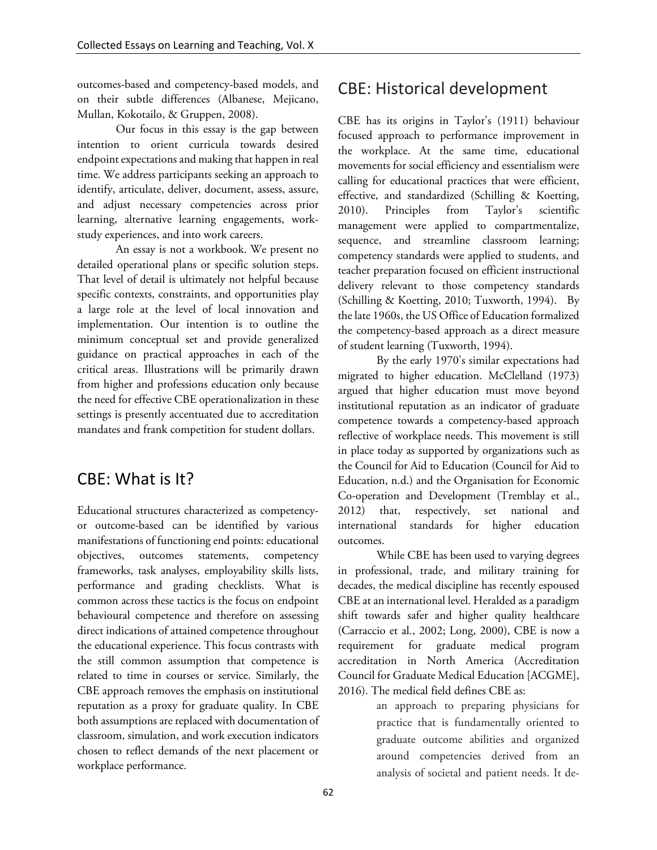outcomes-based and competency-based models, and on their subtle differences (Albanese, Mejicano, Mullan, Kokotailo, & Gruppen, 2008).

Our focus in this essay is the gap between intention to orient curricula towards desired endpoint expectations and making that happen in real time. We address participants seeking an approach to identify, articulate, deliver, document, assess, assure, and adjust necessary competencies across prior learning, alternative learning engagements, workstudy experiences, and into work careers.

An essay is not a workbook. We present no detailed operational plans or specific solution steps. That level of detail is ultimately not helpful because specific contexts, constraints, and opportunities play a large role at the level of local innovation and implementation. Our intention is to outline the minimum conceptual set and provide generalized guidance on practical approaches in each of the critical areas. Illustrations will be primarily drawn from higher and professions education only because the need for effective CBE operationalization in these settings is presently accentuated due to accreditation mandates and frank competition for student dollars.

### CBE: What is It?

Educational structures characterized as competencyor outcome-based can be identified by various manifestations of functioning end points: educational objectives, outcomes statements, competency frameworks, task analyses, employability skills lists, performance and grading checklists. What is common across these tactics is the focus on endpoint behavioural competence and therefore on assessing direct indications of attained competence throughout the educational experience. This focus contrasts with the still common assumption that competence is related to time in courses or service. Similarly, the CBE approach removes the emphasis on institutional reputation as a proxy for graduate quality. In CBE both assumptions are replaced with documentation of classroom, simulation, and work execution indicators chosen to reflect demands of the next placement or workplace performance.

### CBE: Historical development

CBE has its origins in Taylor's (1911) behaviour focused approach to performance improvement in the workplace. At the same time, educational movements for social efficiency and essentialism were calling for educational practices that were efficient, effective, and standardized (Schilling & Koetting, 2010). Principles from Taylor's scientific management were applied to compartmentalize, sequence, and streamline classroom learning; competency standards were applied to students, and teacher preparation focused on efficient instructional delivery relevant to those competency standards (Schilling & Koetting, 2010; Tuxworth, 1994). By the late 1960s, the US Office of Education formalized the competency-based approach as a direct measure of student learning (Tuxworth, 1994).

By the early 1970's similar expectations had migrated to higher education. McClelland (1973) argued that higher education must move beyond institutional reputation as an indicator of graduate competence towards a competency-based approach reflective of workplace needs. This movement is still in place today as supported by organizations such as the Council for Aid to Education (Council for Aid to Education, n.d.) and the Organisation for Economic Co-operation and Development (Tremblay et al., 2012) that, respectively, set national and international standards for higher education outcomes.

While CBE has been used to varying degrees in professional, trade, and military training for decades, the medical discipline has recently espoused CBE at an international level. Heralded as a paradigm shift towards safer and higher quality healthcare (Carraccio et al., 2002; Long, 2000), CBE is now a requirement for graduate medical program accreditation in North America (Accreditation Council for Graduate Medical Education [ACGME], 2016). The medical field defines CBE as:

> an approach to preparing physicians for practice that is fundamentally oriented to graduate outcome abilities and organized around competencies derived from an analysis of societal and patient needs. It de-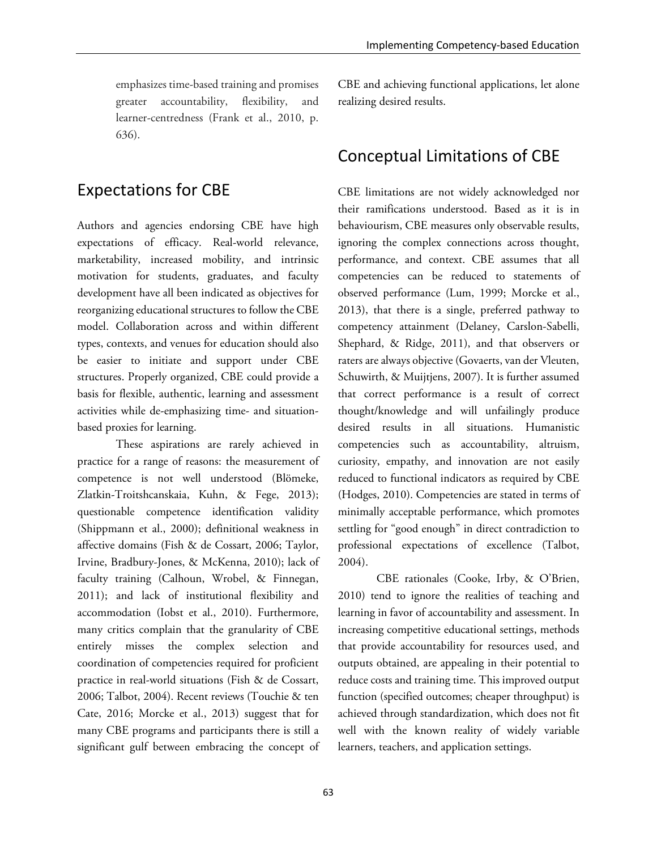emphasizes time-based training and promises greater accountability, flexibility, and learner-centredness (Frank et al., 2010, p. 636).

### Expectations for CBE

Authors and agencies endorsing CBE have high expectations of efficacy. Real-world relevance, marketability, increased mobility, and intrinsic motivation for students, graduates, and faculty development have all been indicated as objectives for reorganizing educational structures to follow the CBE model. Collaboration across and within different types, contexts, and venues for education should also be easier to initiate and support under CBE structures. Properly organized, CBE could provide a basis for flexible, authentic, learning and assessment activities while de-emphasizing time- and situationbased proxies for learning.

These aspirations are rarely achieved in practice for a range of reasons: the measurement of competence is not well understood (Blömeke, Zlatkin-Troitshcanskaia, Kuhn, & Fege, 2013); questionable competence identification validity (Shippmann et al., 2000); definitional weakness in affective domains (Fish & de Cossart, 2006; Taylor, Irvine, Bradbury-Jones, & McKenna, 2010); lack of faculty training (Calhoun, Wrobel, & Finnegan, 2011); and lack of institutional flexibility and accommodation (Iobst et al., 2010). Furthermore, many critics complain that the granularity of CBE entirely misses the complex selection and coordination of competencies required for proficient practice in real-world situations (Fish & de Cossart, 2006; Talbot, 2004). Recent reviews (Touchie & ten Cate, 2016; Morcke et al., 2013) suggest that for many CBE programs and participants there is still a significant gulf between embracing the concept of CBE and achieving functional applications, let alone realizing desired results.

### Conceptual Limitations of CBE

CBE limitations are not widely acknowledged nor their ramifications understood. Based as it is in behaviourism, CBE measures only observable results, ignoring the complex connections across thought, performance, and context. CBE assumes that all competencies can be reduced to statements of observed performance (Lum, 1999; Morcke et al., 2013), that there is a single, preferred pathway to competency attainment (Delaney, Carslon-Sabelli, Shephard, & Ridge, 2011), and that observers or raters are always objective (Govaerts, van der Vleuten, Schuwirth, & Muijtjens, 2007). It is further assumed that correct performance is a result of correct thought/knowledge and will unfailingly produce desired results in all situations. Humanistic competencies such as accountability, altruism, curiosity, empathy, and innovation are not easily reduced to functional indicators as required by CBE (Hodges, 2010). Competencies are stated in terms of minimally acceptable performance, which promotes settling for "good enough" in direct contradiction to professional expectations of excellence (Talbot, 2004).

CBE rationales (Cooke, Irby, & O'Brien, 2010) tend to ignore the realities of teaching and learning in favor of accountability and assessment. In increasing competitive educational settings, methods that provide accountability for resources used, and outputs obtained, are appealing in their potential to reduce costs and training time. This improved output function (specified outcomes; cheaper throughput) is achieved through standardization, which does not fit well with the known reality of widely variable learners, teachers, and application settings.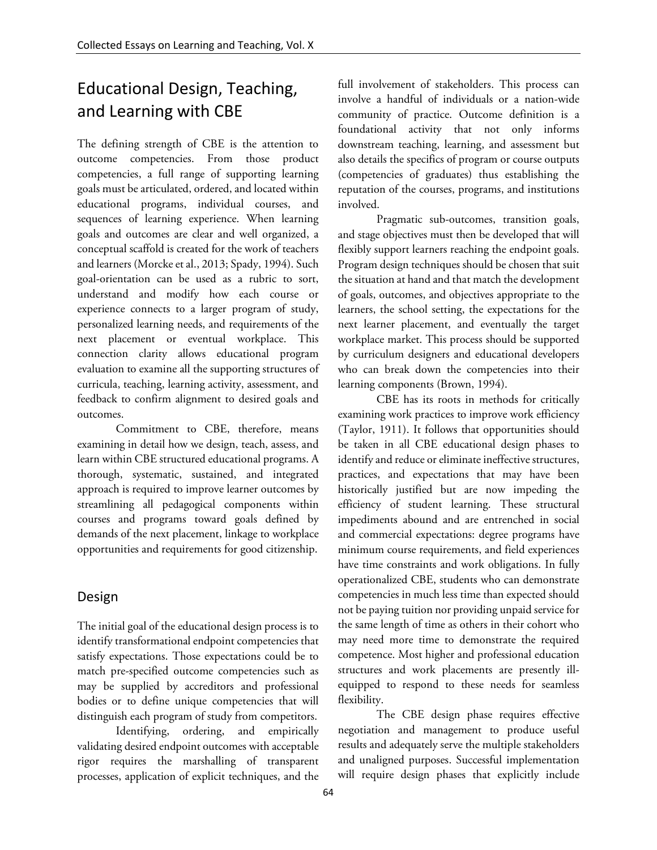# Educational Design, Teaching, and Learning with CBE

The defining strength of CBE is the attention to outcome competencies. From those product competencies, a full range of supporting learning goals must be articulated, ordered, and located within educational programs, individual courses, and sequences of learning experience. When learning goals and outcomes are clear and well organized, a conceptual scaffold is created for the work of teachers and learners (Morcke et al., 2013; Spady, 1994). Such goal-orientation can be used as a rubric to sort, understand and modify how each course or experience connects to a larger program of study, personalized learning needs, and requirements of the next placement or eventual workplace. This connection clarity allows educational program evaluation to examine all the supporting structures of curricula, teaching, learning activity, assessment, and feedback to confirm alignment to desired goals and outcomes.

Commitment to CBE, therefore, means examining in detail how we design, teach, assess, and learn within CBE structured educational programs. A thorough, systematic, sustained, and integrated approach is required to improve learner outcomes by streamlining all pedagogical components within courses and programs toward goals defined by demands of the next placement, linkage to workplace opportunities and requirements for good citizenship.

#### Design

The initial goal of the educational design process is to identify transformational endpoint competencies that satisfy expectations. Those expectations could be to match pre-specified outcome competencies such as may be supplied by accreditors and professional bodies or to define unique competencies that will distinguish each program of study from competitors.

Identifying, ordering, and empirically validating desired endpoint outcomes with acceptable rigor requires the marshalling of transparent processes, application of explicit techniques, and the

full involvement of stakeholders. This process can involve a handful of individuals or a nation-wide community of practice. Outcome definition is a foundational activity that not only informs downstream teaching, learning, and assessment but also details the specifics of program or course outputs (competencies of graduates) thus establishing the reputation of the courses, programs, and institutions involved.

Pragmatic sub-outcomes, transition goals, and stage objectives must then be developed that will flexibly support learners reaching the endpoint goals. Program design techniques should be chosen that suit the situation at hand and that match the development of goals, outcomes, and objectives appropriate to the learners, the school setting, the expectations for the next learner placement, and eventually the target workplace market. This process should be supported by curriculum designers and educational developers who can break down the competencies into their learning components (Brown, 1994).

CBE has its roots in methods for critically examining work practices to improve work efficiency (Taylor, 1911). It follows that opportunities should be taken in all CBE educational design phases to identify and reduce or eliminate ineffective structures, practices, and expectations that may have been historically justified but are now impeding the efficiency of student learning. These structural impediments abound and are entrenched in social and commercial expectations: degree programs have minimum course requirements, and field experiences have time constraints and work obligations. In fully operationalized CBE, students who can demonstrate competencies in much less time than expected should not be paying tuition nor providing unpaid service for the same length of time as others in their cohort who may need more time to demonstrate the required competence. Most higher and professional education structures and work placements are presently illequipped to respond to these needs for seamless flexibility.

The CBE design phase requires effective negotiation and management to produce useful results and adequately serve the multiple stakeholders and unaligned purposes. Successful implementation will require design phases that explicitly include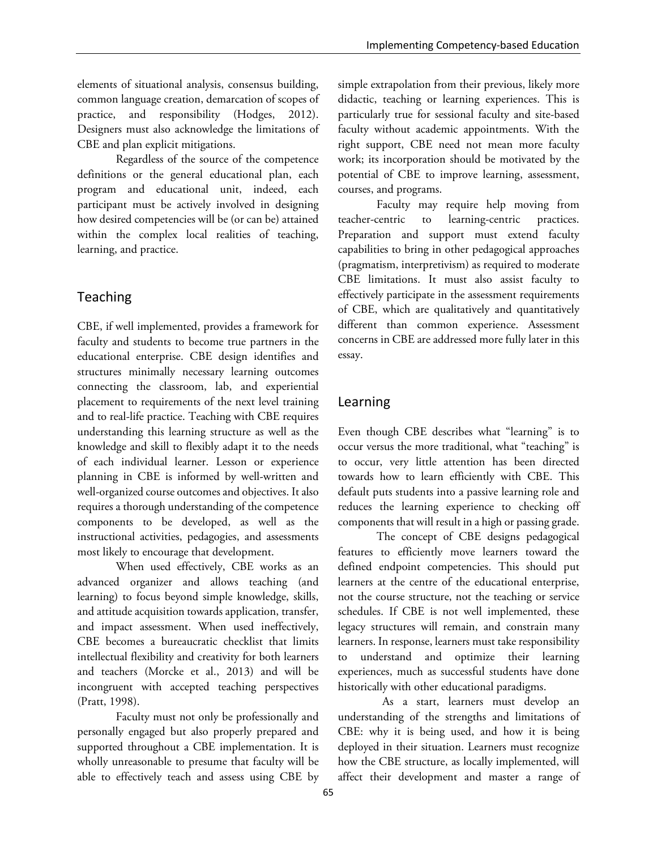elements of situational analysis, consensus building, common language creation, demarcation of scopes of practice, and responsibility (Hodges, 2012). Designers must also acknowledge the limitations of CBE and plan explicit mitigations.

Regardless of the source of the competence definitions or the general educational plan, each program and educational unit, indeed, each participant must be actively involved in designing how desired competencies will be (or can be) attained within the complex local realities of teaching, learning, and practice.

#### Teaching

CBE, if well implemented, provides a framework for faculty and students to become true partners in the educational enterprise. CBE design identifies and structures minimally necessary learning outcomes connecting the classroom, lab, and experiential placement to requirements of the next level training and to real-life practice. Teaching with CBE requires understanding this learning structure as well as the knowledge and skill to flexibly adapt it to the needs of each individual learner. Lesson or experience planning in CBE is informed by well-written and well-organized course outcomes and objectives. It also requires a thorough understanding of the competence components to be developed, as well as the instructional activities, pedagogies, and assessments most likely to encourage that development.

When used effectively, CBE works as an advanced organizer and allows teaching (and learning) to focus beyond simple knowledge, skills, and attitude acquisition towards application, transfer, and impact assessment. When used ineffectively, CBE becomes a bureaucratic checklist that limits intellectual flexibility and creativity for both learners and teachers (Morcke et al., 2013) and will be incongruent with accepted teaching perspectives (Pratt, 1998).

Faculty must not only be professionally and personally engaged but also properly prepared and supported throughout a CBE implementation. It is wholly unreasonable to presume that faculty will be able to effectively teach and assess using CBE by

simple extrapolation from their previous, likely more didactic, teaching or learning experiences. This is particularly true for sessional faculty and site-based faculty without academic appointments. With the right support, CBE need not mean more faculty work; its incorporation should be motivated by the potential of CBE to improve learning, assessment, courses, and programs.

Faculty may require help moving from teacher-centric to learning-centric practices. Preparation and support must extend faculty capabilities to bring in other pedagogical approaches (pragmatism, interpretivism) as required to moderate CBE limitations. It must also assist faculty to effectively participate in the assessment requirements of CBE, which are qualitatively and quantitatively different than common experience. Assessment concerns in CBE are addressed more fully later in this essay.

#### Learning

Even though CBE describes what "learning" is to occur versus the more traditional, what "teaching" is to occur, very little attention has been directed towards how to learn efficiently with CBE. This default puts students into a passive learning role and reduces the learning experience to checking off components that will result in a high or passing grade.

The concept of CBE designs pedagogical features to efficiently move learners toward the defined endpoint competencies. This should put learners at the centre of the educational enterprise, not the course structure, not the teaching or service schedules. If CBE is not well implemented, these legacy structures will remain, and constrain many learners. In response, learners must take responsibility to understand and optimize their learning experiences, much as successful students have done historically with other educational paradigms.

 As a start, learners must develop an understanding of the strengths and limitations of CBE: why it is being used, and how it is being deployed in their situation. Learners must recognize how the CBE structure, as locally implemented, will affect their development and master a range of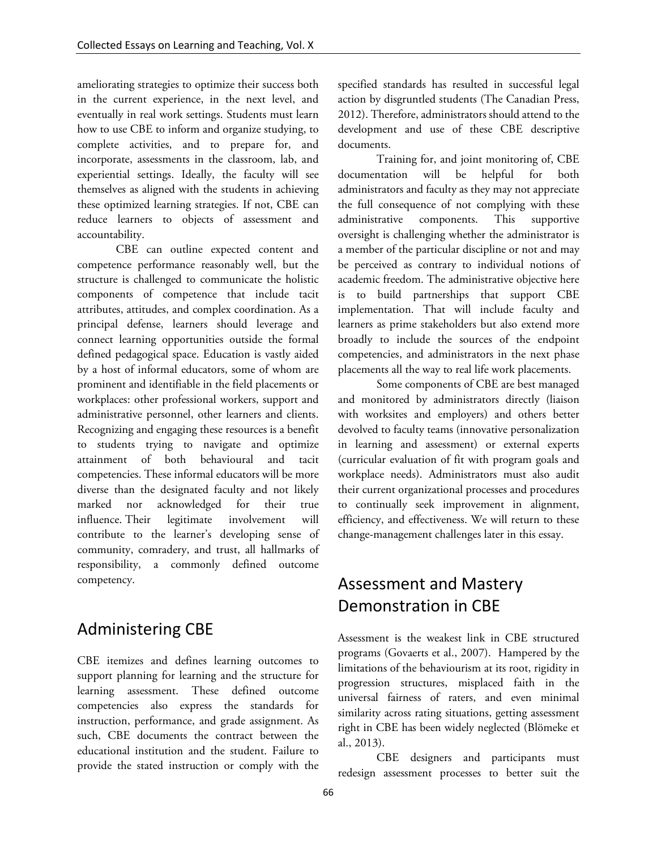ameliorating strategies to optimize their success both in the current experience, in the next level, and eventually in real work settings. Students must learn how to use CBE to inform and organize studying, to complete activities, and to prepare for, and incorporate, assessments in the classroom, lab, and experiential settings. Ideally, the faculty will see themselves as aligned with the students in achieving these optimized learning strategies. If not, CBE can reduce learners to objects of assessment and accountability.

CBE can outline expected content and competence performance reasonably well, but the structure is challenged to communicate the holistic components of competence that include tacit attributes, attitudes, and complex coordination. As a principal defense, learners should leverage and connect learning opportunities outside the formal defined pedagogical space. Education is vastly aided by a host of informal educators, some of whom are prominent and identifiable in the field placements or workplaces: other professional workers, support and administrative personnel, other learners and clients. Recognizing and engaging these resources is a benefit to students trying to navigate and optimize attainment of both behavioural and tacit competencies. These informal educators will be more diverse than the designated faculty and not likely marked nor acknowledged for their true influence. Their legitimate involvement will contribute to the learner's developing sense of community, comradery, and trust, all hallmarks of responsibility, a commonly defined outcome competency.

#### Administering CBE

CBE itemizes and defines learning outcomes to support planning for learning and the structure for learning assessment. These defined outcome competencies also express the standards for instruction, performance, and grade assignment. As such, CBE documents the contract between the educational institution and the student. Failure to provide the stated instruction or comply with the

specified standards has resulted in successful legal action by disgruntled students (The Canadian Press, 2012). Therefore, administrators should attend to the development and use of these CBE descriptive documents.

Training for, and joint monitoring of, CBE documentation will be helpful for both administrators and faculty as they may not appreciate the full consequence of not complying with these administrative components. This supportive oversight is challenging whether the administrator is a member of the particular discipline or not and may be perceived as contrary to individual notions of academic freedom. The administrative objective here is to build partnerships that support CBE implementation. That will include faculty and learners as prime stakeholders but also extend more broadly to include the sources of the endpoint competencies, and administrators in the next phase placements all the way to real life work placements.

Some components of CBE are best managed and monitored by administrators directly (liaison with worksites and employers) and others better devolved to faculty teams (innovative personalization in learning and assessment) or external experts (curricular evaluation of fit with program goals and workplace needs). Administrators must also audit their current organizational processes and procedures to continually seek improvement in alignment, efficiency, and effectiveness. We will return to these change-management challenges later in this essay.

### Assessment and Mastery Demonstration in CBE

Assessment is the weakest link in CBE structured programs (Govaerts et al., 2007). Hampered by the limitations of the behaviourism at its root, rigidity in progression structures, misplaced faith in the universal fairness of raters, and even minimal similarity across rating situations, getting assessment right in CBE has been widely neglected (Blömeke et al., 2013).

CBE designers and participants must redesign assessment processes to better suit the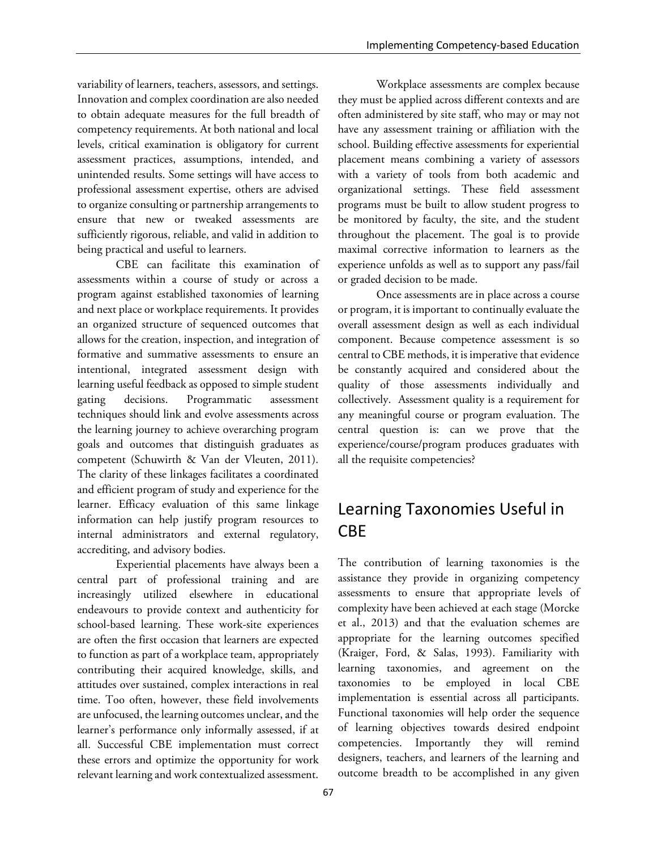variability of learners, teachers, assessors, and settings. Innovation and complex coordination are also needed to obtain adequate measures for the full breadth of competency requirements. At both national and local levels, critical examination is obligatory for current assessment practices, assumptions, intended, and unintended results. Some settings will have access to professional assessment expertise, others are advised to organize consulting or partnership arrangements to ensure that new or tweaked assessments are sufficiently rigorous, reliable, and valid in addition to being practical and useful to learners.

CBE can facilitate this examination of assessments within a course of study or across a program against established taxonomies of learning and next place or workplace requirements. It provides an organized structure of sequenced outcomes that allows for the creation, inspection, and integration of formative and summative assessments to ensure an intentional, integrated assessment design with learning useful feedback as opposed to simple student gating decisions. Programmatic assessment techniques should link and evolve assessments across the learning journey to achieve overarching program goals and outcomes that distinguish graduates as competent (Schuwirth & Van der Vleuten, 2011). The clarity of these linkages facilitates a coordinated and efficient program of study and experience for the learner. Efficacy evaluation of this same linkage information can help justify program resources to internal administrators and external regulatory, accrediting, and advisory bodies.

Experiential placements have always been a central part of professional training and are increasingly utilized elsewhere in educational endeavours to provide context and authenticity for school-based learning. These work-site experiences are often the first occasion that learners are expected to function as part of a workplace team, appropriately contributing their acquired knowledge, skills, and attitudes over sustained, complex interactions in real time. Too often, however, these field involvements are unfocused, the learning outcomes unclear, and the learner's performance only informally assessed, if at all. Successful CBE implementation must correct these errors and optimize the opportunity for work relevant learning and work contextualized assessment.

Workplace assessments are complex because they must be applied across different contexts and are often administered by site staff, who may or may not have any assessment training or affiliation with the school. Building effective assessments for experiential placement means combining a variety of assessors with a variety of tools from both academic and organizational settings. These field assessment programs must be built to allow student progress to be monitored by faculty, the site, and the student throughout the placement. The goal is to provide maximal corrective information to learners as the experience unfolds as well as to support any pass/fail or graded decision to be made.

Once assessments are in place across a course or program, it is important to continually evaluate the overall assessment design as well as each individual component. Because competence assessment is so central to CBE methods, it is imperative that evidence be constantly acquired and considered about the quality of those assessments individually and collectively. Assessment quality is a requirement for any meaningful course or program evaluation. The central question is: can we prove that the experience/course/program produces graduates with all the requisite competencies?

# Learning Taxonomies Useful in CBE

The contribution of learning taxonomies is the assistance they provide in organizing competency assessments to ensure that appropriate levels of complexity have been achieved at each stage (Morcke et al., 2013) and that the evaluation schemes are appropriate for the learning outcomes specified (Kraiger, Ford, & Salas, 1993). Familiarity with learning taxonomies, and agreement on the taxonomies to be employed in local CBE implementation is essential across all participants. Functional taxonomies will help order the sequence of learning objectives towards desired endpoint competencies. Importantly they will remind designers, teachers, and learners of the learning and outcome breadth to be accomplished in any given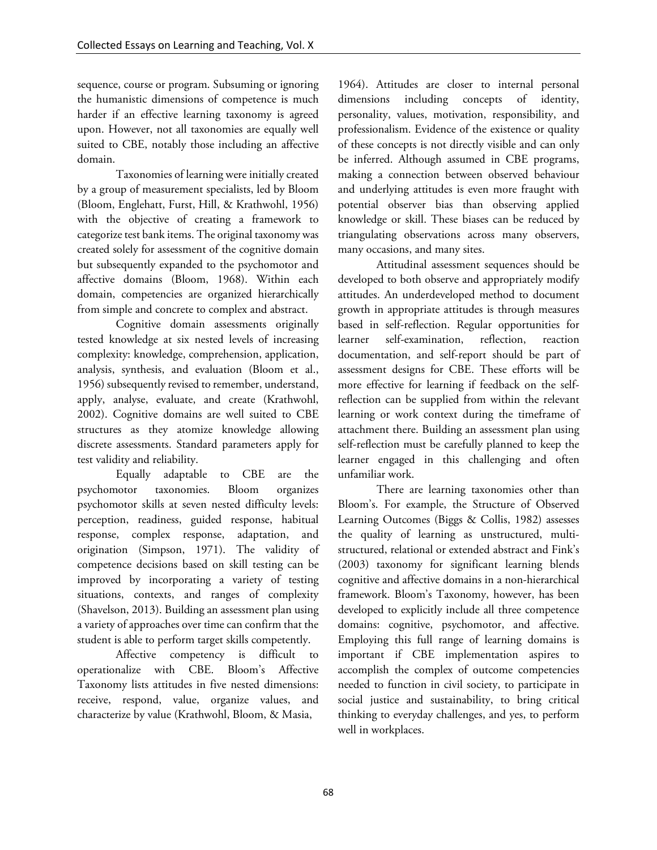sequence, course or program. Subsuming or ignoring the humanistic dimensions of competence is much harder if an effective learning taxonomy is agreed upon. However, not all taxonomies are equally well suited to CBE, notably those including an affective domain.

Taxonomies of learning were initially created by a group of measurement specialists, led by Bloom (Bloom, Englehatt, Furst, Hill, & Krathwohl, 1956) with the objective of creating a framework to categorize test bank items. The original taxonomy was created solely for assessment of the cognitive domain but subsequently expanded to the psychomotor and affective domains (Bloom, 1968). Within each domain, competencies are organized hierarchically from simple and concrete to complex and abstract.

Cognitive domain assessments originally tested knowledge at six nested levels of increasing complexity: knowledge, comprehension, application, analysis, synthesis, and evaluation (Bloom et al., 1956) subsequently revised to remember, understand, apply, analyse, evaluate, and create (Krathwohl, 2002). Cognitive domains are well suited to CBE structures as they atomize knowledge allowing discrete assessments. Standard parameters apply for test validity and reliability.

Equally adaptable to CBE are the psychomotor taxonomies. Bloom organizes psychomotor skills at seven nested difficulty levels: perception, readiness, guided response, habitual response, complex response, adaptation, and origination (Simpson, 1971). The validity of competence decisions based on skill testing can be improved by incorporating a variety of testing situations, contexts, and ranges of complexity (Shavelson, 2013). Building an assessment plan using a variety of approaches over time can confirm that the student is able to perform target skills competently.

Affective competency is difficult to operationalize with CBE. Bloom's Affective Taxonomy lists attitudes in five nested dimensions: receive, respond, value, organize values, and characterize by value (Krathwohl, Bloom, & Masia,

1964). Attitudes are closer to internal personal dimensions including concepts of identity, personality, values, motivation, responsibility, and professionalism. Evidence of the existence or quality of these concepts is not directly visible and can only be inferred. Although assumed in CBE programs, making a connection between observed behaviour and underlying attitudes is even more fraught with potential observer bias than observing applied knowledge or skill. These biases can be reduced by triangulating observations across many observers, many occasions, and many sites.

Attitudinal assessment sequences should be developed to both observe and appropriately modify attitudes. An underdeveloped method to document growth in appropriate attitudes is through measures based in self-reflection. Regular opportunities for learner self-examination, reflection, reaction documentation, and self-report should be part of assessment designs for CBE. These efforts will be more effective for learning if feedback on the selfreflection can be supplied from within the relevant learning or work context during the timeframe of attachment there. Building an assessment plan using self-reflection must be carefully planned to keep the learner engaged in this challenging and often unfamiliar work.

There are learning taxonomies other than Bloom's. For example, the Structure of Observed Learning Outcomes (Biggs & Collis, 1982) assesses the quality of learning as unstructured, multistructured, relational or extended abstract and Fink's (2003) taxonomy for significant learning blends cognitive and affective domains in a non-hierarchical framework. Bloom's Taxonomy, however, has been developed to explicitly include all three competence domains: cognitive, psychomotor, and affective. Employing this full range of learning domains is important if CBE implementation aspires to accomplish the complex of outcome competencies needed to function in civil society, to participate in social justice and sustainability, to bring critical thinking to everyday challenges, and yes, to perform well in workplaces.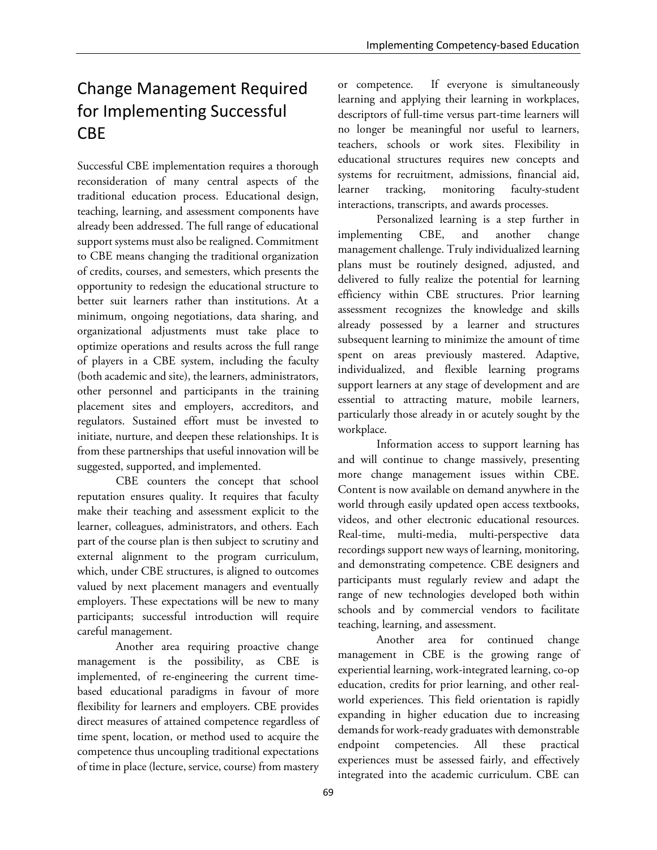# Change Management Required for Implementing Successful CBE

Successful CBE implementation requires a thorough reconsideration of many central aspects of the traditional education process. Educational design, teaching, learning, and assessment components have already been addressed. The full range of educational support systems must also be realigned. Commitment to CBE means changing the traditional organization of credits, courses, and semesters, which presents the opportunity to redesign the educational structure to better suit learners rather than institutions. At a minimum, ongoing negotiations, data sharing, and organizational adjustments must take place to optimize operations and results across the full range of players in a CBE system, including the faculty (both academic and site), the learners, administrators, other personnel and participants in the training placement sites and employers, accreditors, and regulators. Sustained effort must be invested to initiate, nurture, and deepen these relationships. It is from these partnerships that useful innovation will be suggested, supported, and implemented.

CBE counters the concept that school reputation ensures quality. It requires that faculty make their teaching and assessment explicit to the learner, colleagues, administrators, and others. Each part of the course plan is then subject to scrutiny and external alignment to the program curriculum, which, under CBE structures, is aligned to outcomes valued by next placement managers and eventually employers. These expectations will be new to many participants; successful introduction will require careful management.

Another area requiring proactive change management is the possibility, as CBE is implemented, of re-engineering the current timebased educational paradigms in favour of more flexibility for learners and employers. CBE provides direct measures of attained competence regardless of time spent, location, or method used to acquire the competence thus uncoupling traditional expectations of time in place (lecture, service, course) from mastery

or competence. If everyone is simultaneously learning and applying their learning in workplaces, descriptors of full-time versus part-time learners will no longer be meaningful nor useful to learners, teachers, schools or work sites. Flexibility in educational structures requires new concepts and systems for recruitment, admissions, financial aid, learner tracking, monitoring faculty-student interactions, transcripts, and awards processes.

Personalized learning is a step further in implementing CBE, and another change management challenge. Truly individualized learning plans must be routinely designed, adjusted, and delivered to fully realize the potential for learning efficiency within CBE structures. Prior learning assessment recognizes the knowledge and skills already possessed by a learner and structures subsequent learning to minimize the amount of time spent on areas previously mastered. Adaptive, individualized, and flexible learning programs support learners at any stage of development and are essential to attracting mature, mobile learners, particularly those already in or acutely sought by the workplace.

Information access to support learning has and will continue to change massively, presenting more change management issues within CBE. Content is now available on demand anywhere in the world through easily updated open access textbooks, videos, and other electronic educational resources. Real-time, multi-media, multi-perspective data recordings support new ways of learning, monitoring, and demonstrating competence. CBE designers and participants must regularly review and adapt the range of new technologies developed both within schools and by commercial vendors to facilitate teaching, learning, and assessment.

Another area for continued change management in CBE is the growing range of experiential learning, work-integrated learning, co-op education, credits for prior learning, and other realworld experiences. This field orientation is rapidly expanding in higher education due to increasing demands for work-ready graduates with demonstrable endpoint competencies. All these practical experiences must be assessed fairly, and effectively integrated into the academic curriculum. CBE can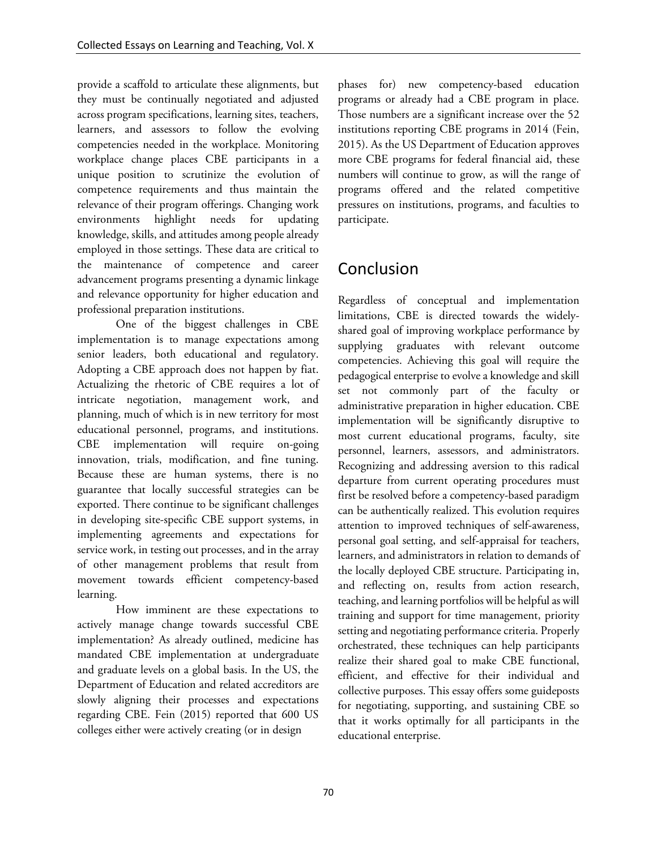provide a scaffold to articulate these alignments, but they must be continually negotiated and adjusted across program specifications, learning sites, teachers, learners, and assessors to follow the evolving competencies needed in the workplace. Monitoring workplace change places CBE participants in a unique position to scrutinize the evolution of competence requirements and thus maintain the relevance of their program offerings. Changing work environments highlight needs for updating knowledge, skills, and attitudes among people already employed in those settings. These data are critical to the maintenance of competence and career advancement programs presenting a dynamic linkage and relevance opportunity for higher education and professional preparation institutions.

One of the biggest challenges in CBE implementation is to manage expectations among senior leaders, both educational and regulatory. Adopting a CBE approach does not happen by fiat. Actualizing the rhetoric of CBE requires a lot of intricate negotiation, management work, and planning, much of which is in new territory for most educational personnel, programs, and institutions. CBE implementation will require on-going innovation, trials, modification, and fine tuning. Because these are human systems, there is no guarantee that locally successful strategies can be exported. There continue to be significant challenges in developing site-specific CBE support systems, in implementing agreements and expectations for service work, in testing out processes, and in the array of other management problems that result from movement towards efficient competency-based learning.

How imminent are these expectations to actively manage change towards successful CBE implementation? As already outlined, medicine has mandated CBE implementation at undergraduate and graduate levels on a global basis. In the US, the Department of Education and related accreditors are slowly aligning their processes and expectations regarding CBE. Fein (2015) reported that 600 US colleges either were actively creating (or in design

phases for) new competency-based education programs or already had a CBE program in place. Those numbers are a significant increase over the 52 institutions reporting CBE programs in 2014 (Fein, 2015). As the US Department of Education approves more CBE programs for federal financial aid, these numbers will continue to grow, as will the range of programs offered and the related competitive pressures on institutions, programs, and faculties to participate.

# Conclusion

Regardless of conceptual and implementation limitations, CBE is directed towards the widelyshared goal of improving workplace performance by supplying graduates with relevant outcome competencies. Achieving this goal will require the pedagogical enterprise to evolve a knowledge and skill set not commonly part of the faculty or administrative preparation in higher education. CBE implementation will be significantly disruptive to most current educational programs, faculty, site personnel, learners, assessors, and administrators. Recognizing and addressing aversion to this radical departure from current operating procedures must first be resolved before a competency-based paradigm can be authentically realized. This evolution requires attention to improved techniques of self-awareness, personal goal setting, and self-appraisal for teachers, learners, and administrators in relation to demands of the locally deployed CBE structure. Participating in, and reflecting on, results from action research, teaching, and learning portfolios will be helpful as will training and support for time management, priority setting and negotiating performance criteria. Properly orchestrated, these techniques can help participants realize their shared goal to make CBE functional, efficient, and effective for their individual and collective purposes. This essay offers some guideposts for negotiating, supporting, and sustaining CBE so that it works optimally for all participants in the educational enterprise.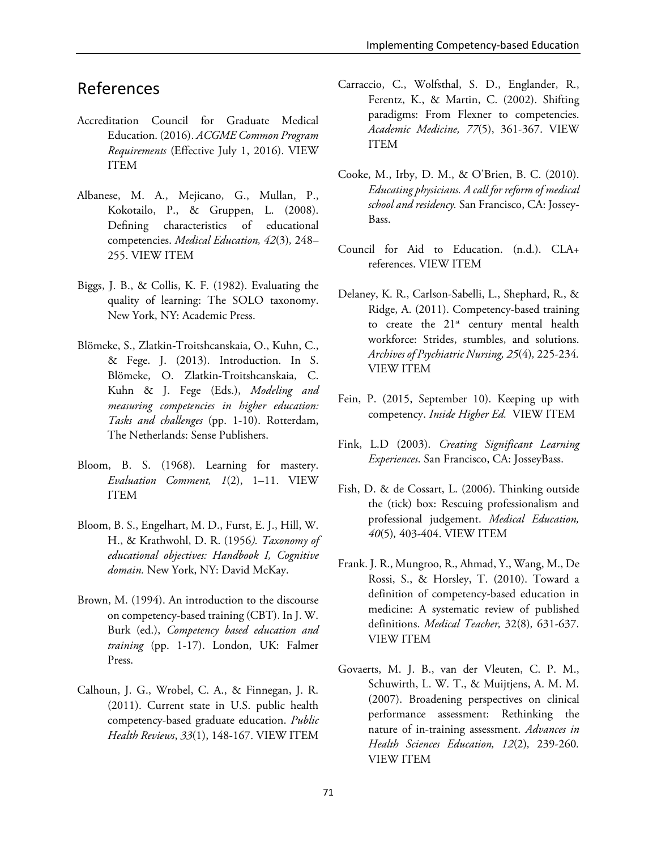### References

- Accreditation Council for Graduate Medical Education. (2016). *ACGME Common Program Requirements* (Effective July 1, 2016). [VIEW](http://www.acgme.org/Portals/0/PFAssets/ProgramRequirements/CPRs_07012016.pdf)  [ITEM](http://www.acgme.org/Portals/0/PFAssets/ProgramRequirements/CPRs_07012016.pdf)
- Albanese, M. A., Mejicano, G., Mullan, P., Kokotailo, P., & Gruppen, L. (2008). Defining characteristics of educational competencies. *Medical Education, 42*(3)*,* 248– 255. [VIEW ITEM](http://dx.doi.org/10.1111/j.1365-2923.2007.02996.x)
- Biggs, J. B., & Collis, K. F. (1982). Evaluating the quality of learning: The SOLO taxonomy. New York, NY: Academic Press.
- Blömeke, S., Zlatkin-Troitshcanskaia, O., Kuhn, C., & Fege. J. (2013). Introduction. In S. Blömeke, O. Zlatkin-Troitshcanskaia, C. Kuhn & J. Fege (Eds.), *Modeling and measuring competencies in higher education: Tasks and challenges* (pp. 1-10). Rotterdam, The Netherlands: Sense Publishers.
- Bloom, B. S. (1968). Learning for mastery. *Evaluation Comment, 1*(2), 1–11. [VIEW](https://eric.ed.gov/?id=ED053419)  [ITEM](https://eric.ed.gov/?id=ED053419)
- Bloom, B. S., Engelhart, M. D., Furst, E. J., Hill, W. H., & Krathwohl, D. R. (1956*). Taxonomy of educational objectives: Handbook I, Cognitive domain.* New York, NY: David McKay.
- Brown, M. (1994). An introduction to the discourse on competency-based training (CBT). In J. W. Burk (ed.), *Competency based education and training* (pp. 1-17). London, UK: Falmer Press.
- Calhoun, J. G., Wrobel, C. A., & Finnegan, J. R. (2011). Current state in U.S. public health competency-based graduate education. *Public Health Reviews*, *33*(1), 148-167. [VIEW ITEM](http://search.proquest.com/openview/ed39031a35f4a1a166d1d3e52ed8bbc0/1?pq-origsite=gscholar&cbl=406344)
- Carraccio, C., Wolfsthal, S. D., Englander, R., Ferentz, K., & Martin, C. (2002). Shifting paradigms: From Flexner to competencies. *Academic Medicine, 77*(5), 361-367. [VIEW](http://journals.lww.com/academicmedicine/Abstract/2002/05000/Shifting_Paradigms__From_Flexner_to_Competencies.3.aspx)  [ITEM](http://journals.lww.com/academicmedicine/Abstract/2002/05000/Shifting_Paradigms__From_Flexner_to_Competencies.3.aspx)
- Cooke, M., Irby, D. M., & O'Brien, B. C. (2010). *Educating physicians. A call for reform of medical school and residency.* San Francisco, CA: Jossey-Bass.
- Council for Aid to Education. (n.d.). CLA+ references. [VIEW ITEM](http://cae.org/flagship-assessments-cla-cwra/cla/about-cla/)
- Delaney, K. R., Carlson-Sabelli, L., Shephard, R., & Ridge, A. (2011). Competency-based training to create the  $21<sup>st</sup>$  century mental health workforce: Strides, stumbles, and solutions. *Archives of Psychiatric Nursing, 25*(4)*,* 225-234*.* [VIEW ITEM](http://dx.doi.org/10.1016/j.apnu.2010.09.003)
- Fein, P. (2015, September 10). Keeping up with competency. *Inside Higher Ed.* [VIEW ITEM](https://www.insidehighered.com/news/2015/09/10/amid-competency-based-education-boom-meeting-help-colleges-do-it-right)
- Fink, L.D (2003). *Creating Significant Learning Experiences*. San Francisco, CA: JosseyBass.
- Fish, D. & de Cossart, L. (2006). Thinking outside the (tick) box: Rescuing professionalism and professional judgement. *Medical Education, 40*(5)*,* 403-404. [VIEW ITEM](http://dx.doi.org/10.1111/j.1365-2929.2006.02441.x)
- Frank. J. R., Mungroo, R., Ahmad, Y., Wang, M., De Rossi, S., & Horsley, T. (2010). Toward a definition of competency-based education in medicine: A systematic review of published definitions. *Medical Teacher,* 32(8)*,* 631-637. [VIEW ITEM](http://dx.doi.org/10.3109/0142159X.2010.500898)
- Govaerts, M. J. B., van der Vleuten, C. P. M., Schuwirth, L. W. T., & Muijtjens, A. M. M. (2007). Broadening perspectives on clinical performance assessment: Rethinking the nature of in-training assessment. *Advances in Health Sciences Education, 12*(2)*,* 239-260*.* [VIEW ITEM](http://dx.doi.org/10.1007/s10459-006-9043-1)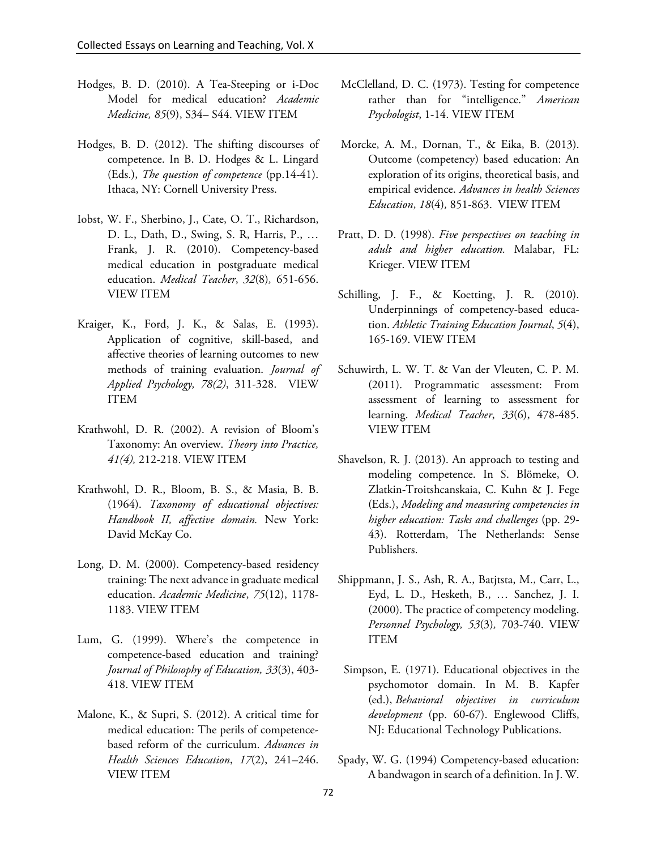- Hodges, B. D. (2010). A Tea-Steeping or i-Doc Model for medical education? *Academic Medicine, 85*(9), S34– S44. [VIEW ITEM](http://dx.doi.org/10.1097/ACM.0b013e3181f12f32)
- Hodges, B. D. (2012). The shifting discourses of competence. In B. D. Hodges & L. Lingard (Eds.), *The question of competence* (pp.14-41). Ithaca, NY: Cornell University Press.
- Iobst, W. F., Sherbino, J., Cate, O. T., Richardson, D. L., Dath, D., Swing, S. R, Harris, P., … Frank, J. R. (2010). Competency-based medical education in postgraduate medical education. *Medical Teacher*, *32*(8)*,* 651-656. [VIEW ITEM](http://dx.doi.org/10.3109/0142159X.2010.500709)
- Kraiger, K., Ford, J. K., & Salas, E. (1993). Application of cognitive, skill-based, and affective theories of learning outcomes to new methods of training evaluation. *Journal of Applied Psychology, 78(2)*, 311-328. [VIEW](http://dx.doi.org/10.1037/0021-9010.78.2.311)  [ITEM](http://dx.doi.org/10.1037/0021-9010.78.2.311)
- Krathwohl, D. R. (2002). A revision of Bloom's Taxonomy: An overview. *Theory into Practice, 41(4),* 212-218. [VIEW ITEM](http://dx.doi.org/10.1207/s15430421tip4104_2)
- Krathwohl, D. R., Bloom, B. S., & Masia, B. B. (1964). *Taxonomy of educational objectives: Handbook II, affective domain.* New York: David McKay Co.
- Long, D. M. (2000). Competency-based residency training: The next advance in graduate medical education. *Academic Medicine*, *75*(12), 1178- 1183. [VIEW ITEM](http://journals.lww.com/academicmedicine/Abstract/2000/12000/Competency_based_Residency_Training__The_Next.9.aspx)
- Lum, G. (1999). Where's the competence in competence-based education and training? *Journal of Philosophy of Education, 33*(3), 403- 418. [VIEW ITEM](http://dx.doi.org/%2010.1111/1467-9752.00145)
- Malone, K., & Supri, S. (2012). A critical time for medical education: The perils of competencebased reform of the curriculum. *Advances in Health Sciences Education*, *17*(2), 241–246. [VIEW ITEM](http://dx.doi.org/10.1007/s10459-010-9247-2)
- McClelland, D. C. (1973). Testing for competence rather than for "intelligence." *American Psychologist*, 1-14. [VIEW ITEM](http://www.therapiebreve.be/documents/mcclelland-1973.pdf)
- Morcke, A. M., Dornan, T., & Eika, B. (2013). Outcome (competency) based education: An exploration of its origins, theoretical basis, and empirical evidence. *Advances in health Sciences Education*, *18*(4)*,* 851-863. [VIEW ITEM](http://dx.doi.org/10.1007/s10459-012-9405-9)
- Pratt, D. D. (1998). *Five perspectives on teaching in adult and higher education.* Malabar, FL: Krieger. [VIEW ITEM](https://eric.ed.gov/?id=ED461013)
- Schilling, J. F., & Koetting, J. R. (2010). Underpinnings of competency-based education. *Athletic Training Education Journal*, *5*(4), 165-169. [VIEW ITEM](http://nataej.org/5.4/ATEJ5-4.pdf#page=14)
- Schuwirth, L. W. T. & Van der Vleuten, C. P. M. (2011). Programmatic assessment: From assessment of learning to assessment for learning. *Medical Teacher*, *33*(6), 478-485. [VIEW ITEM](http://dx.doi.org/10.3109/0142159X.2011.565828)
- Shavelson, R. J. (2013). An approach to testing and modeling competence. In S. Blömeke, O. Zlatkin-Troitshcanskaia, C. Kuhn & J. Fege (Eds.), *Modeling and measuring competencies in higher education: Tasks and challenges* (pp. 29- 43). Rotterdam, The Netherlands: Sense Publishers.
- Shippmann, J. S., Ash, R. A., Batjtsta, M., Carr, L., Eyd, L. D., Hesketh, B., … Sanchez, J. I. (2000). The practice of competency modeling. *Personnel Psychology, 53*(3)*,* 703-740. [VIEW](http://dx.doi.org/%2010.1111/j.1744-6570.2000.tb00220.x)  [ITEM](http://dx.doi.org/%2010.1111/j.1744-6570.2000.tb00220.x)
- Simpson, E. (1971). Educational objectives in the psychomotor domain. In M. B. Kapfer (ed.), *Behavioral objectives in curriculum development* (pp. 60-67). Englewood Cliffs, NJ: Educational Technology Publications.
- Spady, W. G. (1994) Competency-based education: A bandwagon in search of a definition. In J. W.